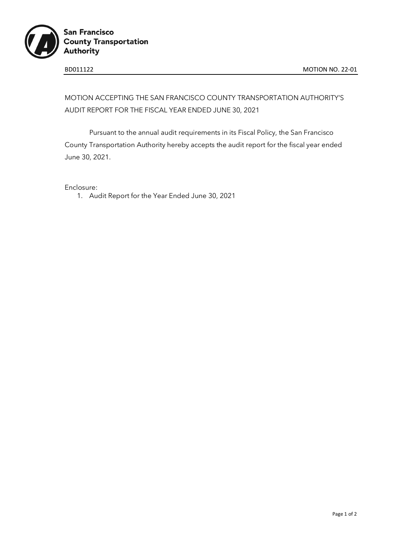

# MOTION ACCEPTING THE SAN FRANCISCO COUNTY TRANSPORTATION AUTHORITY'S AUDIT REPORT FOR THE FISCAL YEAR ENDED JUNE 30, 2021

Pursuant to the annual audit requirements in its Fiscal Policy, the San Francisco County Transportation Authority hereby accepts the audit report for the fiscal year ended June 30, 2021.

Enclosure:

1. Audit Report for the Year Ended June 30, 2021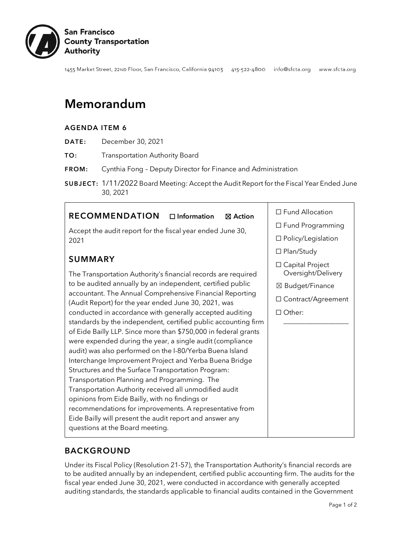

1455 Market Street, 22ND Floor, San Francisco, California 94103 415-522-4800 info@sfcta.org www.sfcta.org

# Memorandum

#### AGENDA ITEM 6

- DATE: December 30, 2021
- TO: Transportation Authority Board
- FROM: Cynthia Fong Deputy Director for Finance and Administration
- SUBJECT: 1/11/2022 Board Meeting: Accept the Audit Report for the Fiscal Year Ended June 30, 2021

# RECOMMENDATION □ Information ⊠ Action

Accept the audit report for the fiscal year ended June 30, 2021

# SUMMARY

The Transportation Authority's financial records are required to be audited annually by an independent, certified public accountant. The Annual Comprehensive Financial Reporting (Audit Report) for the year ended June 30, 2021, was conducted in accordance with generally accepted auditing standards by the independent, certified public accounting firm of Eide Bailly LLP. Since more than \$750,000 in federal grants were expended during the year, a single audit (compliance audit) was also performed on the I-80/Yerba Buena Island Interchange Improvement Project and Yerba Buena Bridge Structures and the Surface Transportation Program: Transportation Planning and Programming. The Transportation Authority received all unmodified audit opinions from Eide Bailly, with no findings or recommendations for improvements. A representative from Eide Bailly will present the audit report and answer any questions at the Board meeting.

☐ Fund Allocation

- ☐ Fund Programming
- ☐ Policy/Legislation
- ☐ Plan/Study
- ☐ Capital Project Oversight/Delivery
- ☒ Budget/Finance
- ☐ Contract/Agreement

\_\_\_\_\_\_\_\_\_\_\_\_\_\_\_\_\_\_\_

☐ Other:

# BACKGROUND

Under its Fiscal Policy (Resolution 21-57), the Transportation Authority's financial records are to be audited annually by an independent, certified public accounting firm. The audits for the fiscal year ended June 30, 2021, were conducted in accordance with generally accepted auditing standards, the standards applicable to financial audits contained in the Government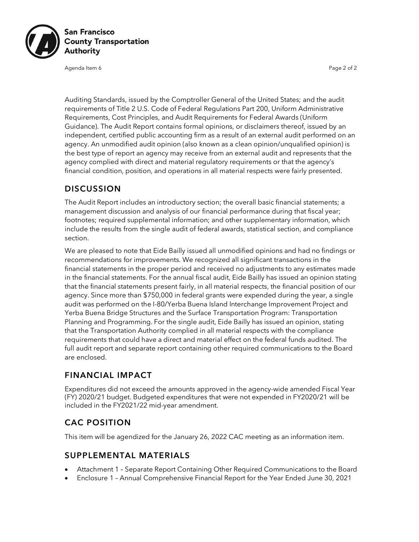

Agenda Item 6 Page 2 of 2

Auditing Standards, issued by the Comptroller General of the United States; and the audit requirements of Title 2 U.S. Code of Federal Regulations Part 200, Uniform Administrative Requirements, Cost Principles, and Audit Requirements for Federal Awards (Uniform Guidance). The Audit Report contains formal opinions, or disclaimers thereof, issued by an independent, certified public accounting firm as a result of an external audit performed on an agency. An unmodified audit opinion (also known as a clean opinion/unqualified opinion) is the best type of report an agency may receive from an external audit and represents that the agency complied with direct and material regulatory requirements or that the agency's financial condition, position, and operations in all material respects were fairly presented.

### DISCUSSION

The Audit Report includes an introductory section; the overall basic financial statements; a management discussion and analysis of our financial performance during that fiscal year; footnotes; required supplemental information; and other supplementary information, which include the results from the single audit of federal awards, statistical section, and compliance section.

We are pleased to note that Eide Bailly issued all unmodified opinions and had no findings or recommendations for improvements. We recognized all significant transactions in the financial statements in the proper period and received no adjustments to any estimates made in the financial statements. For the annual fiscal audit, Eide Bailly has issued an opinion stating that the financial statements present fairly, in all material respects, the financial position of our agency. Since more than \$750,000 in federal grants were expended during the year, a single audit was performed on the I-80/Yerba Buena Island Interchange Improvement Project and Yerba Buena Bridge Structures and the Surface Transportation Program: Transportation Planning and Programming. For the single audit, Eide Bailly has issued an opinion, stating that the Transportation Authority complied in all material respects with the compliance requirements that could have a direct and material effect on the federal funds audited. The full audit report and separate report containing other required communications to the Board are enclosed.

## FINANCIAL IMPACT

Expenditures did not exceed the amounts approved in the agency-wide amended Fiscal Year (FY) 2020/21 budget. Budgeted expenditures that were not expended in FY2020/21 will be included in the FY2021/22 mid-year amendment.

# CAC POSITION

This item will be agendized for the January 26, 2022 CAC meeting as an information item.

#### SUPPLEMENTAL MATERIALS

- Attachment 1 Separate Report Containing Other Required Communications to the Board
- Enclosure 1 Annual Comprehensive Financial Report for the Year Ended June 30, 2021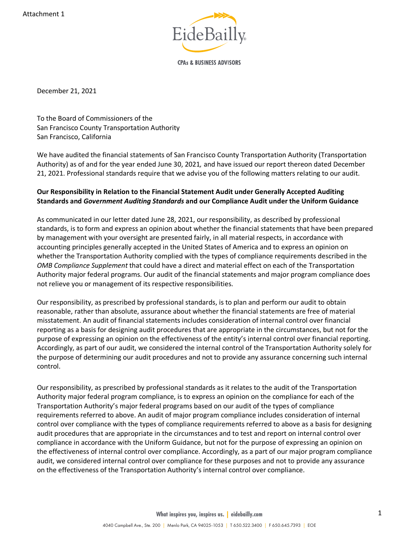

**CPAs & BUSINESS ADVISORS** 

December 21, 2021

To the Board of Commissioners of the San Francisco County Transportation Authority San Francisco, California

We have audited the financial statements of San Francisco County Transportation Authority (Transportation Authority) as of and for the year ended June 30, 2021*,* and have issued our report thereon dated December 21, 2021. Professional standards require that we advise you of the following matters relating to our audit.

#### **Our Responsibility in Relation to the Financial Statement Audit under Generally Accepted Auditing Standards and** *Government Auditing Standards* **and our Compliance Audit under the Uniform Guidance**

As communicated in our letter dated June 28, 2021, our responsibility, as described by professional standards, is to form and express an opinion about whether the financial statements that have been prepared by management with your oversight are presented fairly, in all material respects, in accordance with accounting principles generally accepted in the United States of America and to express an opinion on whether the Transportation Authority complied with the types of compliance requirements described in the *OMB Compliance Supplement* that could have a direct and material effect on each of the Transportation Authority major federal programs. Our audit of the financial statements and major program compliance does not relieve you or management of its respective responsibilities.

Our responsibility, as prescribed by professional standards, is to plan and perform our audit to obtain reasonable, rather than absolute, assurance about whether the financial statements are free of material misstatement. An audit of financial statements includes consideration of internal control over financial reporting as a basis for designing audit procedures that are appropriate in the circumstances, but not for the purpose of expressing an opinion on the effectiveness of the entity's internal control over financial reporting. Accordingly, as part of our audit, we considered the internal control of the Transportation Authority solely for the purpose of determining our audit procedures and not to provide any assurance concerning such internal control.

Our responsibility, as prescribed by professional standards as it relates to the audit of the Transportation Authority major federal program compliance, is to express an opinion on the compliance for each of the Transportation Authority's major federal programs based on our audit of the types of compliance requirements referred to above. An audit of major program compliance includes consideration of internal control over compliance with the types of compliance requirements referred to above as a basis for designing audit procedures that are appropriate in the circumstances and to test and report on internal control over compliance in accordance with the Uniform Guidance, but not for the purpose of expressing an opinion on the effectiveness of internal control over compliance. Accordingly, as a part of our major program compliance audit, we considered internal control over compliance for these purposes and not to provide any assurance on the effectiveness of the Transportation Authority's internal control over compliance.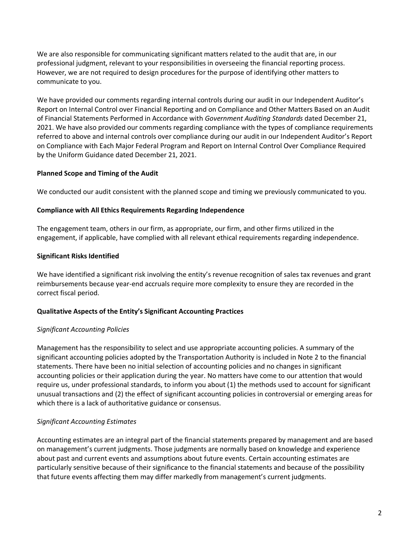We are also responsible for communicating significant matters related to the audit that are, in our professional judgment, relevant to your responsibilities in overseeing the financial reporting process. However, we are not required to design procedures for the purpose of identifying other matters to communicate to you.

We have provided our comments regarding internal controls during our audit in our Independent Auditor's Report on Internal Control over Financial Reporting and on Compliance and Other Matters Based on an Audit of Financial Statements Performed in Accordance with *Government Auditing Standards* dated December 21, 2021. We have also provided our comments regarding compliance with the types of compliance requirements referred to above and internal controls over compliance during our audit in our Independent Auditor's Report on Compliance with Each Major Federal Program and Report on Internal Control Over Compliance Required by the Uniform Guidance dated December 21, 2021.

#### **Planned Scope and Timing of the Audit**

We conducted our audit consistent with the planned scope and timing we previously communicated to you.

#### **Compliance with All Ethics Requirements Regarding Independence**

The engagement team, others in our firm, as appropriate, our firm, and other firms utilized in the engagement, if applicable, have complied with all relevant ethical requirements regarding independence.

#### **Significant Risks Identified**

We have identified a significant risk involving the entity's revenue recognition of sales tax revenues and grant reimbursements because year-end accruals require more complexity to ensure they are recorded in the correct fiscal period.

#### **Qualitative Aspects of the Entity's Significant Accounting Practices**

#### *Significant Accounting Policies*

Management has the responsibility to select and use appropriate accounting policies. A summary of the significant accounting policies adopted by the Transportation Authority is included in Note 2 to the financial statements. There have been no initial selection of accounting policies and no changes in significant accounting policies or their application during the year. No matters have come to our attention that would require us, under professional standards, to inform you about (1) the methods used to account for significant unusual transactions and (2) the effect of significant accounting policies in controversial or emerging areas for which there is a lack of authoritative guidance or consensus.

#### *Significant Accounting Estimates*

Accounting estimates are an integral part of the financial statements prepared by management and are based on management's current judgments. Those judgments are normally based on knowledge and experience about past and current events and assumptions about future events. Certain accounting estimates are particularly sensitive because of their significance to the financial statements and because of the possibility that future events affecting them may differ markedly from management's current judgments.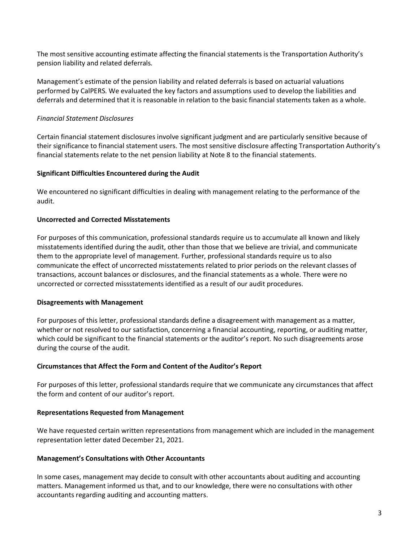The most sensitive accounting estimate affecting the financial statements is the Transportation Authority's pension liability and related deferrals*.*

Management's estimate of the pension liability and related deferrals is based on actuarial valuations performed by CalPERS. We evaluated the key factors and assumptions used to develop the liabilities and deferrals and determined that it is reasonable in relation to the basic financial statements taken as a whole.

#### *Financial Statement Disclosures*

Certain financial statement disclosures involve significant judgment and are particularly sensitive because of their significance to financial statement users. The most sensitive disclosure affecting Transportation Authority's financial statements relate to the net pension liability at Note 8 to the financial statements.

#### **Significant Difficulties Encountered during the Audit**

We encountered no significant difficulties in dealing with management relating to the performance of the audit.

#### **Uncorrected and Corrected Misstatements**

For purposes of this communication, professional standards require us to accumulate all known and likely misstatements identified during the audit, other than those that we believe are trivial, and communicate them to the appropriate level of management. Further, professional standards require us to also communicate the effect of uncorrected misstatements related to prior periods on the relevant classes of transactions, account balances or disclosures, and the financial statements as a whole. There were no uncorrected or corrected missstatements identified as a result of our audit procedures.

#### **Disagreements with Management**

For purposes of this letter, professional standards define a disagreement with management as a matter, whether or not resolved to our satisfaction, concerning a financial accounting, reporting, or auditing matter, which could be significant to the financial statements or the auditor's report. No such disagreements arose during the course of the audit.

#### **Circumstances that Affect the Form and Content of the Auditor's Report**

For purposes of this letter, professional standards require that we communicate any circumstances that affect the form and content of our auditor's report.

#### **Representations Requested from Management**

We have requested certain written representations from management which are included in the management representation letter dated December 21, 2021.

#### **Management's Consultations with Other Accountants**

In some cases, management may decide to consult with other accountants about auditing and accounting matters. Management informed us that, and to our knowledge, there were no consultations with other accountants regarding auditing and accounting matters.